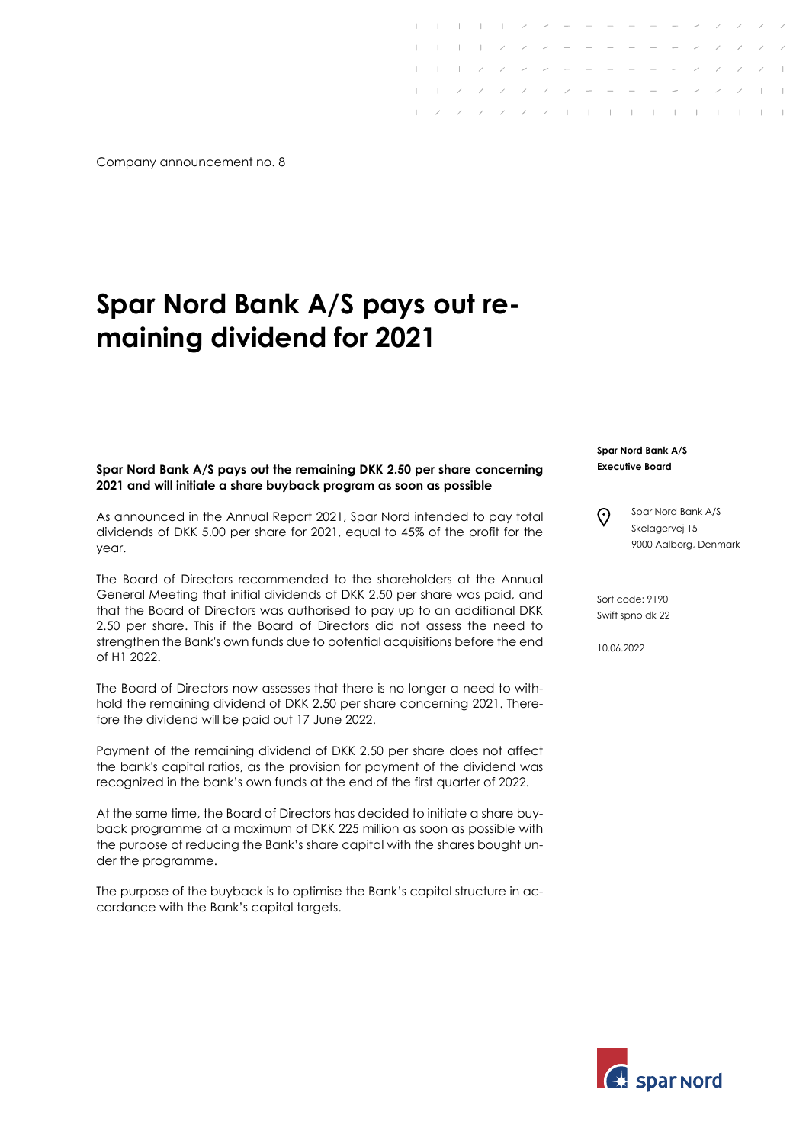Company announcement no. 8

## Spar Nord Bank A/S pays out remaining dividend for 2021

## Spar Nord Bank A/S pays out the remaining DKK 2.50 per share concerning 2021 and will initiate a share buyback program as soon as possible

As announced in the Annual Report 2021, Spar Nord intended to pay total dividends of DKK 5.00 per share for 2021, equal to 45% of the profit for the year.

The Board of Directors recommended to the shareholders at the Annual General Meeting that initial dividends of DKK 2.50 per share was paid, and that the Board of Directors was authorised to pay up to an additional DKK 2.50 per share. This if the Board of Directors did not assess the need to strengthen the Bank's own funds due to potential acquisitions before the end of H1 2022.

The Board of Directors now assesses that there is no longer a need to withhold the remaining dividend of DKK 2.50 per share concerning 2021. Therefore the dividend will be paid out 17 June 2022.

Payment of the remaining dividend of DKK 2.50 per share does not affect the bank's capital ratios, as the provision for payment of the dividend was recognized in the bank's own funds at the end of the first quarter of 2022.

At the same time, the Board of Directors has decided to initiate a share buyback programme at a maximum of DKK 225 million as soon as possible with the purpose of reducing the Bank's share capital with the shares bought under the programme.

The purpose of the buyback is to optimise the Bank's capital structure in accordance with the Bank's capital targets.

## Spar Nord Bank A/S Executive Board

 $1 - 1 - 1 - 1 - 2 - 2 - 3 - 3 - 3$  $\mathbf{1}$   $\mathbf{2}$   $\mathbf{3}$ 

 $\mathcal{L}$  and  $\mathcal{L}$  and  $\mathcal{L}$ 

 $\sqrt{2}$  / / / | | | | | | | | | |

Spar Nord Bank A/S ၐ Skelagervej 15 9000 Aalborg, Denmark

Sort code: 9190 Swift spno dk 22

10.06.2022